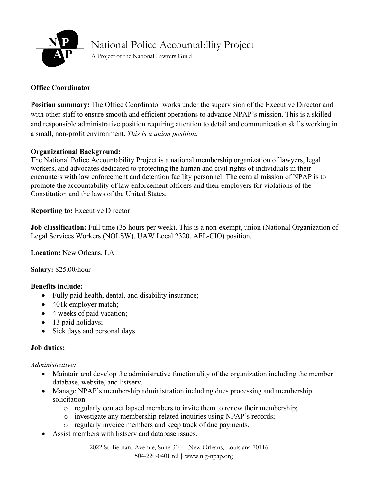

# National Police Accountability Project

A Project of the National Lawyers Guild

## **Office Coordinator**

**Position summary:** The Office Coordinator works under the supervision of the Executive Director and with other staff to ensure smooth and efficient operations to advance NPAP's mission. This is a skilled and responsible administrative position requiring attention to detail and communication skills working in a small, non-profit environment. *This is a union position*.

#### **Organizational Background:**

The National Police Accountability Project is a national membership organization of lawyers, legal workers, and advocates dedicated to protecting the human and civil rights of individuals in their encounters with law enforcement and detention facility personnel. The central mission of NPAP is to promote the accountability of law enforcement officers and their employers for violations of the Constitution and the laws of the United States.

## **Reporting to:** Executive Director

**Job classification:** Full time (35 hours per week). This is a non-exempt, union (National Organization of Legal Services Workers (NOLSW), UAW Local 2320, AFL-CIO) position.

**Location:** New Orleans, LA

**Salary:** \$25.00/hour

#### **Benefits include:**

- Fully paid health, dental, and disability insurance;
- 401k employer match;
- 4 weeks of paid vacation;
- 13 paid holidays;
- Sick days and personal days.

#### **Job duties:**

*Administrative:* 

- Maintain and develop the administrative functionality of the organization including the member database, website, and listserv.
- Manage NPAP's membership administration including dues processing and membership solicitation:
	- o regularly contact lapsed members to invite them to renew their membership;
	- o investigate any membership-related inquiries using NPAP's records;
	- o regularly invoice members and keep track of due payments.
- Assist members with listserv and database issues.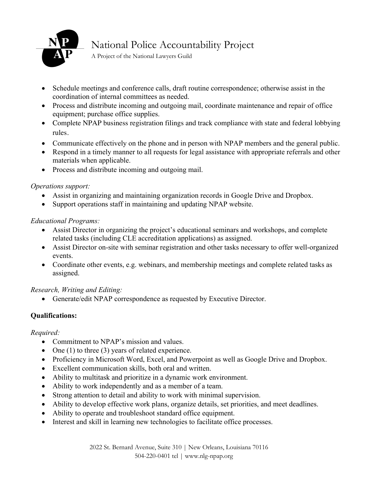

## National Police Accountability Project

A Project of the National Lawyers Guild

- Schedule meetings and conference calls, draft routine correspondence; otherwise assist in the coordination of internal committees as needed.
- Process and distribute incoming and outgoing mail, coordinate maintenance and repair of office equipment; purchase office supplies.
- Complete NPAP business registration filings and track compliance with state and federal lobbying rules.
- Communicate effectively on the phone and in person with NPAP members and the general public.
- Respond in a timely manner to all requests for legal assistance with appropriate referrals and other materials when applicable.
- Process and distribute incoming and outgoing mail.

## *Operations support:*

- Assist in organizing and maintaining organization records in Google Drive and Dropbox.
- Support operations staff in maintaining and updating NPAP website.

## *Educational Programs:*

- Assist Director in organizing the project's educational seminars and workshops, and complete related tasks (including CLE accreditation applications) as assigned.
- Assist Director on-site with seminar registration and other tasks necessary to offer well-organized events.
- Coordinate other events, e.g. webinars, and membership meetings and complete related tasks as assigned.

## *Research, Writing and Editing:*

• Generate/edit NPAP correspondence as requested by Executive Director.

## **Qualifications:**

#### *Required:*

- Commitment to NPAP's mission and values.
- One (1) to three (3) years of related experience.
- Proficiency in Microsoft Word, Excel, and Powerpoint as well as Google Drive and Dropbox.
- Excellent communication skills, both oral and written.
- Ability to multitask and prioritize in a dynamic work environment.
- Ability to work independently and as a member of a team.
- Strong attention to detail and ability to work with minimal supervision.
- Ability to develop effective work plans, organize details, set priorities, and meet deadlines.
- Ability to operate and troubleshoot standard office equipment.
- Interest and skill in learning new technologies to facilitate office processes.